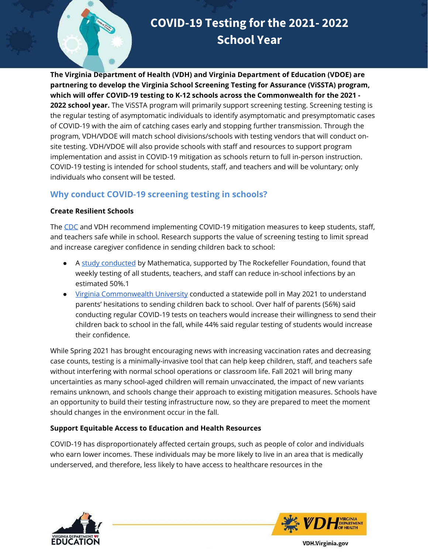

**The Virginia Department of Health (VDH) and Virginia Department of Education (VDOE) are partnering to develop the Virginia School Screening Testing for Assurance (ViSSTA) program, which will offer COVID-19 testing to K-12 schools across the Commonwealth for the 2021 - 2022 school year.** The ViSSTA program will primarily support screening testing. Screening testing is the regular testing of asymptomatic individuals to identify asymptomatic and presymptomatic cases of COVID-19 with the aim of catching cases early and stopping further transmission. Through the program, VDH/VDOE will match school divisions/schools with testing vendors that will conduct onsite testing. VDH/VDOE will also provide schools with staff and resources to support program implementation and assist in COVID-19 mitigation as schools return to full in-person instruction. COVID-19 testing is intended for school students, staff, and teachers and will be voluntary; only individuals who consent will be tested.

## **Why conduct COVID-19 screening testing in schools?**

#### **Create Resilient Schools**

The [CDC](https://www.cdc.gov/coronavirus/2019-ncov/community/schools-childcare/operation-strategy.html) and VDH recommend implementing COVID-19 mitigation measures to keep students, staff, and teachers safe while in school. Research supports the value of screening testing to limit spread and increase caregiver confidence in sending children back to school:

- A [study conducted](https://www.mathematica.org/news/research-supported-by-the-rockefeller-foundation-strengthens-the-evidence-base-for-reopening-k-12) by Mathematica, supported by The Rockefeller Foundation, found that weekly testing of all students, teachers, and staff can reduce in-school infections by an estimated 50%.1
- [Virginia Commonwealth University](https://oppo.vcu.edu/policy-poll/) conducted a statewide poll in May 2021 to understand parents' hesitations to sending children back to school. Over half of parents (56%) said conducting regular COVID-19 tests on teachers would increase their willingness to send their children back to school in the fall, while 44% said regular testing of students would increase their confidence.

While Spring 2021 has brought encouraging news with increasing vaccination rates and decreasing case counts, testing is a minimally-invasive tool that can help keep children, staff, and teachers safe without interfering with normal school operations or classroom life. Fall 2021 will bring many uncertainties as many school-aged children will remain unvaccinated, the impact of new variants remains unknown, and schools change their approach to existing mitigation measures. Schools have an opportunity to build their testing infrastructure now, so they are prepared to meet the moment should changes in the environment occur in the fall.

### **Support Equitable Access to Education and Health Resources**

COVID-19 has disproportionately affected certain groups, such as people of color and individuals who earn lower incomes. These individuals may be more likely to live in an area that is medically underserved, and therefore, less likely to have access to healthcare resources in the





**VDH.Virginia.gov**